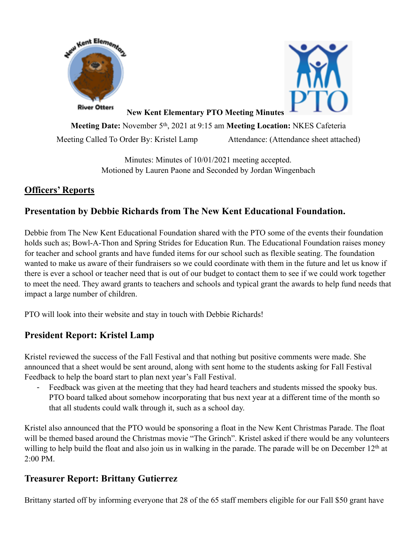



**New Kent Elementary PTO Meeting Minutes**

**Meeting Date:** November 5th, 2021 at 9:15 am **Meeting Location:** NKES Cafeteria

Meeting Called To Order By: Kristel Lamp Attendance: (Attendance sheet attached)

Minutes: Minutes of 10/01/2021 meeting accepted. Motioned by Lauren Paone and Seconded by Jordan Wingenbach

# **Officers' Reports**

# **Presentation by Debbie Richards from The New Kent Educational Foundation.**

Debbie from The New Kent Educational Foundation shared with the PTO some of the events their foundation holds such as; Bowl-A-Thon and Spring Strides for Education Run. The Educational Foundation raises money for teacher and school grants and have funded items for our school such as flexible seating. The foundation wanted to make us aware of their fundraisers so we could coordinate with them in the future and let us know if there is ever a school or teacher need that is out of our budget to contact them to see if we could work together to meet the need. They award grants to teachers and schools and typical grant the awards to help fund needs that impact a large number of children.

PTO will look into their website and stay in touch with Debbie Richards!

# **President Report: Kristel Lamp**

Kristel reviewed the success of the Fall Festival and that nothing but positive comments were made. She announced that a sheet would be sent around, along with sent home to the students asking for Fall Festival Feedback to help the board start to plan next year's Fall Festival.

Feedback was given at the meeting that they had heard teachers and students missed the spooky bus. PTO board talked about somehow incorporating that bus next year at a different time of the month so that all students could walk through it, such as a school day.

Kristel also announced that the PTO would be sponsoring a float in the New Kent Christmas Parade. The float will be themed based around the Christmas movie "The Grinch". Kristel asked if there would be any volunteers willing to help build the float and also join us in walking in the parade. The parade will be on December 12<sup>th</sup> at 2:00 PM.

# **Treasurer Report: Brittany Gutierrez**

Brittany started off by informing everyone that 28 of the 65 staff members eligible for our Fall \$50 grant have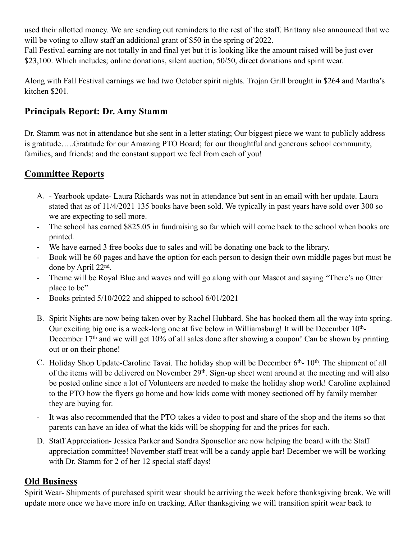used their allotted money. We are sending out reminders to the rest of the staff. Brittany also announced that we will be voting to allow staff an additional grant of \$50 in the spring of 2022.

Fall Festival earning are not totally in and final yet but it is looking like the amount raised will be just over \$23,100. Which includes; online donations, silent auction, 50/50, direct donations and spirit wear.

Along with Fall Festival earnings we had two October spirit nights. Trojan Grill brought in \$264 and Martha's kitchen \$201.

# **Principals Report: Dr. Amy Stamm**

Dr. Stamm was not in attendance but she sent in a letter stating; Our biggest piece we want to publicly address is gratitude…..Gratitude for our Amazing PTO Board; for our thoughtful and generous school community, families, and friends: and the constant support we feel from each of you!

## **Committee Reports**

- A. Yearbook update- Laura Richards was not in attendance but sent in an email with her update. Laura stated that as of 11/4/2021 135 books have been sold. We typically in past years have sold over 300 so we are expecting to sell more.
- The school has earned \$825.05 in fundraising so far which will come back to the school when books are printed.
- We have earned 3 free books due to sales and will be donating one back to the library.
- Book will be 60 pages and have the option for each person to design their own middle pages but must be done by April 22nd.
- Theme will be Royal Blue and waves and will go along with our Mascot and saying "There's no Otter place to be"
- Books printed 5/10/2022 and shipped to school 6/01/2021
- B. Spirit Nights are now being taken over by Rachel Hubbard. She has booked them all the way into spring. Our exciting big one is a week-long one at five below in Williamsburg! It will be December 10<sup>th</sup>-December  $17<sup>th</sup>$  and we will get  $10\%$  of all sales done after showing a coupon! Can be shown by printing out or on their phone!
- C. Holiday Shop Update-Caroline Tavai. The holiday shop will be December 6<sup>th</sup>- 10<sup>th</sup>. The shipment of all of the items will be delivered on November 29th. Sign-up sheet went around at the meeting and will also be posted online since a lot of Volunteers are needed to make the holiday shop work! Caroline explained to the PTO how the flyers go home and how kids come with money sectioned off by family member they are buying for.
- It was also recommended that the PTO takes a video to post and share of the shop and the items so that parents can have an idea of what the kids will be shopping for and the prices for each.
- D. Staff Appreciation- Jessica Parker and Sondra Sponsellor are now helping the board with the Staff appreciation committee! November staff treat will be a candy apple bar! December we will be working with Dr. Stamm for 2 of her 12 special staff days!

### **Old Business**

Spirit Wear- Shipments of purchased spirit wear should be arriving the week before thanksgiving break. We will update more once we have more info on tracking. After thanksgiving we will transition spirit wear back to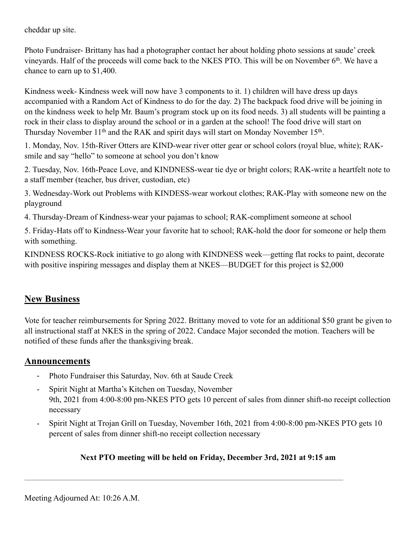cheddar up site.

Photo Fundraiser- Brittany has had a photographer contact her about holding photo sessions at saude' creek vineyards. Half of the proceeds will come back to the NKES PTO. This will be on November 6<sup>th</sup>. We have a chance to earn up to \$1,400.

Kindness week- Kindness week will now have 3 components to it. 1) children will have dress up days accompanied with a Random Act of Kindness to do for the day. 2) The backpack food drive will be joining in on the kindness week to help Mr. Baum's program stock up on its food needs. 3) all students will be painting a rock in their class to display around the school or in a garden at the school! The food drive will start on Thursday November 11<sup>th</sup> and the RAK and spirit days will start on Monday November 15<sup>th</sup>.

1. Monday, Nov. 15th-River Otters are KIND-wear river otter gear or school colors (royal blue, white); RAKsmile and say "hello" to someone at school you don't know

2. Tuesday, Nov. 16th-Peace Love, and KINDNESS-wear tie dye or bright colors; RAK-write a heartfelt note to a staff member (teacher, bus driver, custodian, etc)

3. Wednesday-Work out Problems with KINDESS-wear workout clothes; RAK-Play with someone new on the playground

4. Thursday-Dream of Kindness-wear your pajamas to school; RAK-compliment someone at school

5. Friday-Hats off to Kindness-Wear your favorite hat to school; RAK-hold the door for someone or help them with something.

KINDNESS ROCKS-Rock initiative to go along with KINDNESS week—getting flat rocks to paint, decorate with positive inspiring messages and display them at NKES—BUDGET for this project is \$2,000

# **New Business**

Vote for teacher reimbursements for Spring 2022. Brittany moved to vote for an additional \$50 grant be given to all instructional staff at NKES in the spring of 2022. Candace Major seconded the motion. Teachers will be notified of these funds after the thanksgiving break.

### **Announcements**

- Photo Fundraiser this Saturday, Nov. 6th at Saude Creek
- Spirit Night at Martha's Kitchen on Tuesday, November 9th, 2021 from 4:00-8:00 pm-NKES PTO gets 10 percent of sales from dinner shift-no receipt collection necessary
- Spirit Night at Trojan Grill on Tuesday, November 16th, 2021 from 4:00-8:00 pm-NKES PTO gets 10 percent of sales from dinner shift-no receipt collection necessary

### **Next PTO meeting will be held on Friday, December 3rd, 2021 at 9:15 am**